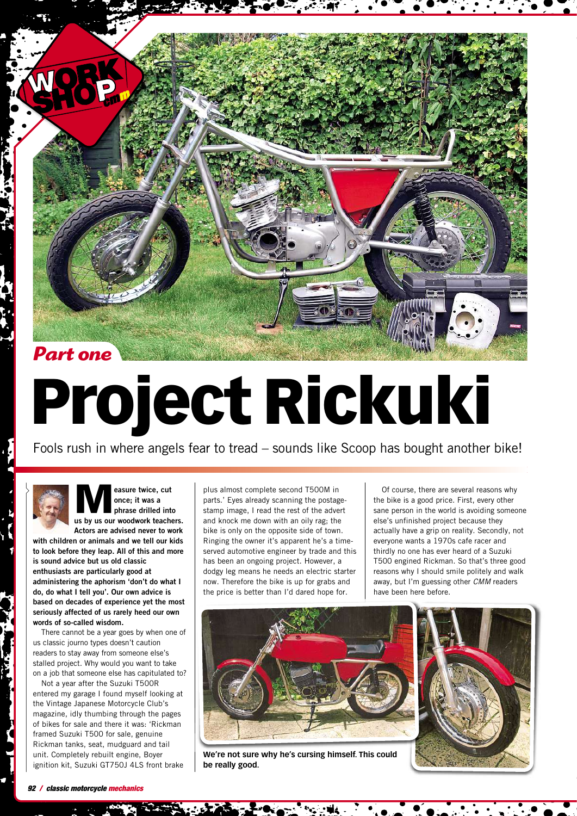

## **Project Rickuki**

Fools rush in where angels fear to tread – sounds like Scoop has bought another bike!

**M easure twice, cut once; it was a phrase drilled into us by us our woodwork teachers.**

**Actors are advised never to work with children or animals and we tell our kids to look before they leap. All of this and more is sound advice but us old classic enthusiasts are particularly good at administering the aphorism 'don't do what I do, do what I tell you'. Our own advice is based on decades of experience yet the most seriously affected of us rarely heed our own words of so-called wisdom.**

There cannot be a year goes by when one of us classic journo types doesn't caution readers to stay away from someone else's stalled project. Why would you want to take on a job that someone else has capitulated to?

Not a year after the Suzuki T500R entered my garage I found myself looking at the Vintage Japanese Motorcycle Club's magazine, idly thumbing through the pages of bikes for sale and there it was: 'Rickman framed Suzuki T500 for sale, genuine Rickman tanks, seat, mudguard and tail unit. Completely rebuilt engine, Boyer ignition kit, Suzuki GT750J 4LS front brake

plus almost complete second T500M in parts.' Eyes already scanning the postagestamp image, I read the rest of the advert and knock me down with an oily rag; the bike is only on the opposite side of town. Ringing the owner it's apparent he's a timeserved automotive engineer by trade and this has been an ongoing project. However, a dodgy leg means he needs an electric starter now. Therefore the bike is up for grabs and the price is better than I'd dared hope for.

Of course, there are several reasons why the bike is a good price. First, every other sane person in the world is avoiding someone else's unfinished project because they actually have a grip on reality. Secondly, not everyone wants a 1970s cafe racer and thirdly no one has ever heard of a Suzuki T500 engined Rickman. So that's three good reasons why I should smile politely and walk away, but I'm guessing other *CMM* readers have been here before.



**We're not sure why he's cursing himself. This could be really good.**